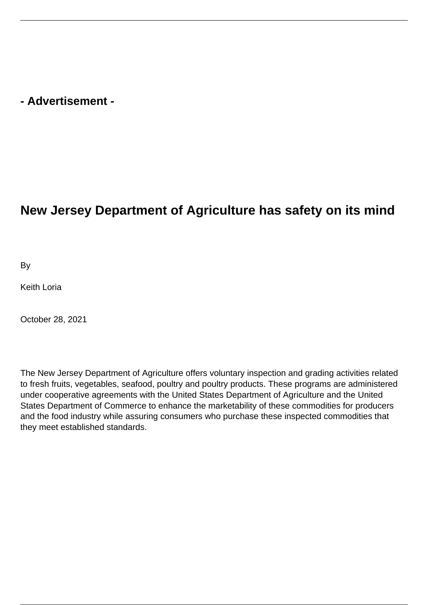## **- Advertisement -**

## **New Jersey Department of Agriculture has safety on its mind**

By

Keith Loria

October 28, 2021

The New Jersey Department of Agriculture offers voluntary inspection and grading activities related to fresh fruits, vegetables, seafood, poultry and poultry products. These programs are administered under cooperative agreements with the United States Department of Agriculture and the United States Department of Commerce to enhance the marketability of these commodities for producers and the food industry while assuring consumers who purchase these inspected commodities that they meet established standards.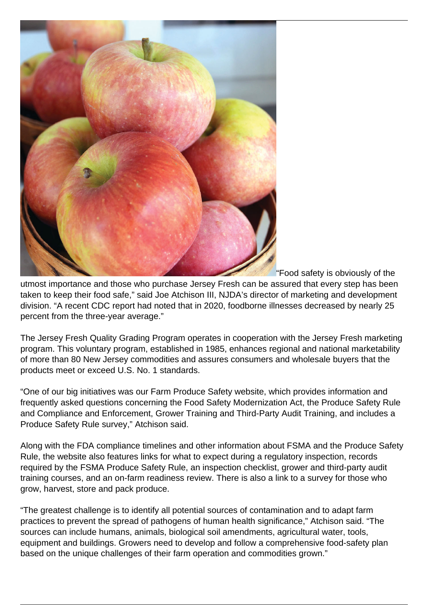

"Food safety is obviously of the

utmost importance and those who purchase Jersey Fresh can be assured that every step has been taken to keep their food safe," said Joe Atchison III, NJDA's director of marketing and development division. "A recent CDC report had noted that in 2020, foodborne illnesses decreased by nearly 25 percent from the three-year average."

The Jersey Fresh Quality Grading Program operates in cooperation with the Jersey Fresh marketing program. This voluntary program, established in 1985, enhances regional and national marketability of more than 80 New Jersey commodities and assures consumers and wholesale buyers that the products meet or exceed U.S. No. 1 standards.

"One of our big initiatives was our Farm Produce Safety website, which provides information and frequently asked questions concerning the Food Safety Modernization Act, the Produce Safety Rule and Compliance and Enforcement, Grower Training and Third-Party Audit Training, and includes a Produce Safety Rule survey," Atchison said.

Along with the FDA compliance timelines and other information about FSMA and the Produce Safety Rule, the website also features links for what to expect during a regulatory inspection, records required by the FSMA Produce Safety Rule, an inspection checklist, grower and third-party audit training courses, and an on-farm readiness review. There is also a link to a survey for those who grow, harvest, store and pack produce.

"The greatest challenge is to identify all potential sources of contamination and to adapt farm practices to prevent the spread of pathogens of human health significance," Atchison said. "The sources can include humans, animals, biological soil amendments, agricultural water, tools, equipment and buildings. Growers need to develop and follow a comprehensive food-safety plan based on the unique challenges of their farm operation and commodities grown."